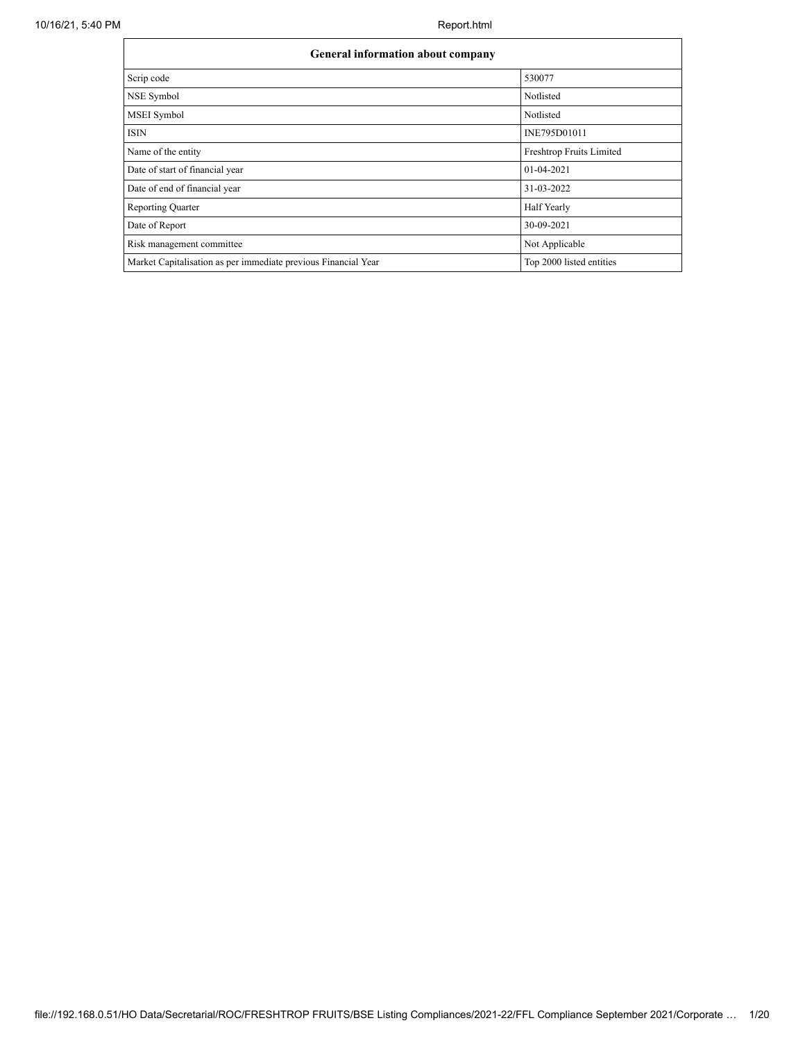| <b>General information about company</b>                       |                          |
|----------------------------------------------------------------|--------------------------|
| Scrip code                                                     | 530077                   |
| NSE Symbol                                                     | Notlisted                |
| <b>MSEI</b> Symbol                                             | Notlisted                |
| <b>ISIN</b>                                                    | INE795D01011             |
| Name of the entity                                             | Freshtrop Fruits Limited |
| Date of start of financial year                                | 01-04-2021               |
| Date of end of financial year                                  | 31-03-2022               |
| <b>Reporting Quarter</b>                                       | <b>Half Yearly</b>       |
| Date of Report                                                 | 30-09-2021               |
| Risk management committee                                      | Not Applicable           |
| Market Capitalisation as per immediate previous Financial Year | Top 2000 listed entities |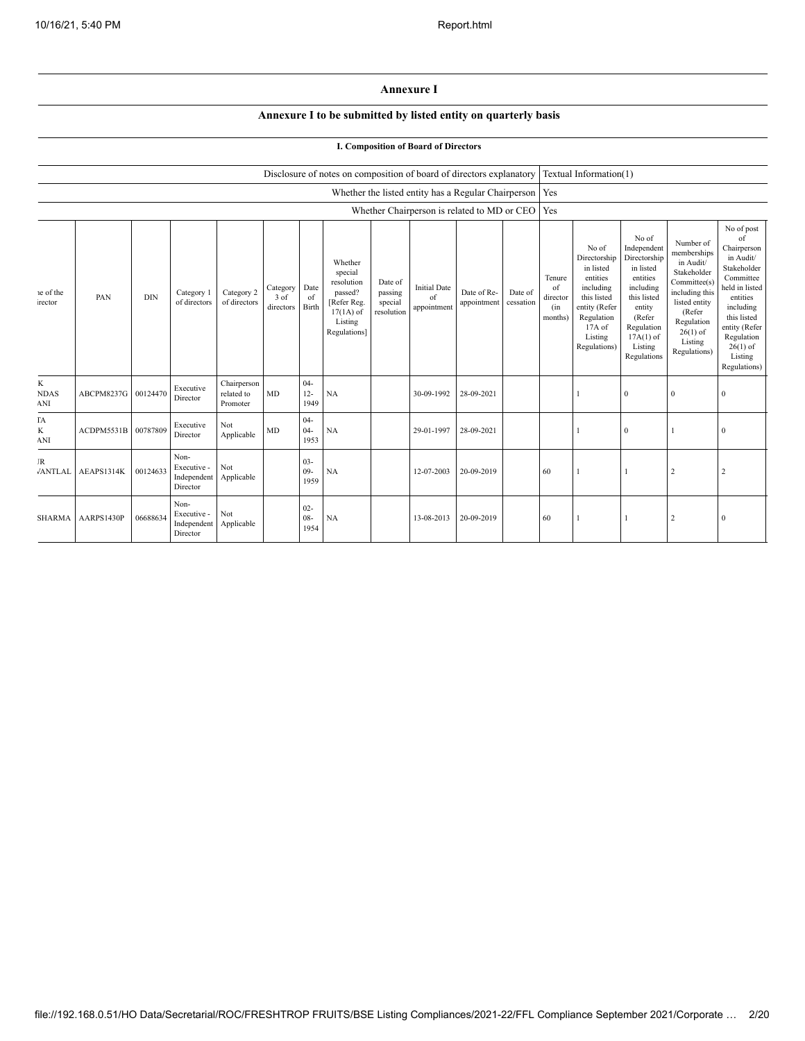## **Annexure I**

## **Annexure I to be submitted by listed entity on quarterly basis**

## **I. Composition of Board of Directors**

|                         |                   |            |                                                |                                       |                               |                          | Disclosure of notes on composition of board of directors explanatory                                 |                                             |                                                           |                            |                      |                                            | Textual Information(1)                                                                                                                         |                                                                                                                                                                      |                                                                                                                                                                          |                                                                                                                                                                                                            |
|-------------------------|-------------------|------------|------------------------------------------------|---------------------------------------|-------------------------------|--------------------------|------------------------------------------------------------------------------------------------------|---------------------------------------------|-----------------------------------------------------------|----------------------------|----------------------|--------------------------------------------|------------------------------------------------------------------------------------------------------------------------------------------------|----------------------------------------------------------------------------------------------------------------------------------------------------------------------|--------------------------------------------------------------------------------------------------------------------------------------------------------------------------|------------------------------------------------------------------------------------------------------------------------------------------------------------------------------------------------------------|
|                         |                   |            |                                                |                                       |                               |                          |                                                                                                      |                                             | Whether the listed entity has a Regular Chairperson   Yes |                            |                      |                                            |                                                                                                                                                |                                                                                                                                                                      |                                                                                                                                                                          |                                                                                                                                                                                                            |
|                         |                   |            |                                                |                                       |                               |                          |                                                                                                      |                                             | Whether Chairperson is related to MD or CEO               |                            |                      | Yes                                        |                                                                                                                                                |                                                                                                                                                                      |                                                                                                                                                                          |                                                                                                                                                                                                            |
| e of the<br>rector      | PAN               | <b>DIN</b> | Category 1<br>of directors                     | Category 2<br>of directors            | Category<br>3 of<br>directors | Date<br>of<br>Birth      | Whether<br>special<br>resolution<br>passed?<br>[Refer Reg.<br>$17(1A)$ of<br>Listing<br>Regulations] | Date of<br>passing<br>special<br>resolution | <b>Initial Date</b><br>of<br>appointment                  | Date of Re-<br>appointment | Date of<br>cessation | Tenure<br>of<br>director<br>(in<br>months) | No of<br>Directorship<br>in listed<br>entities<br>including<br>this listed<br>entity (Refer<br>Regulation<br>17A of<br>Listing<br>Regulations) | No of<br>Independent<br>Directorship<br>in listed<br>entities<br>including<br>this listed<br>entity<br>(Refer<br>Regulation<br>$17A(1)$ of<br>Listing<br>Regulations | Number of<br>memberships<br>in Audit/<br>Stakeholder<br>Committee(s)<br>including this<br>listed entity<br>(Refer<br>Regulation<br>$26(1)$ of<br>Listing<br>Regulations) | No of post<br>of<br>Chairperson<br>in Audit/<br>Stakeholder<br>Committee<br>held in listed<br>entities<br>including<br>this listed<br>entity (Refer<br>Regulation<br>$26(1)$ of<br>Listing<br>Regulations) |
| K<br><b>NDAS</b><br>ANI | <b>ABCPM8237G</b> | 00124470   | Executive<br>Director                          | Chairperson<br>related to<br>Promoter | MD                            | $04 -$<br>$12 -$<br>1949 | NA                                                                                                   |                                             | 30-09-1992                                                | 28-09-2021                 |                      |                                            |                                                                                                                                                | $\mathbf{0}$                                                                                                                                                         | $\mathbf{0}$                                                                                                                                                             | 0                                                                                                                                                                                                          |
| ГA<br>K<br>ANI          | ACDPM5531B        | 00787809   | Executive<br>Director                          | Not<br>Applicable                     | MD                            | $04 -$<br>$04 -$<br>1953 | NA                                                                                                   |                                             | 29-01-1997                                                | 28-09-2021                 |                      |                                            |                                                                                                                                                | $\mathbf{0}$                                                                                                                                                         |                                                                                                                                                                          | $\Omega$                                                                                                                                                                                                   |
| JR<br>/ANTLAL           | AEAPS1314K        | 00124633   | Non-<br>Executive -<br>Independent<br>Director | Not<br>Applicable                     |                               | $03 -$<br>$09 -$<br>1959 | NA                                                                                                   |                                             | 12-07-2003                                                | 20-09-2019                 |                      | 60                                         |                                                                                                                                                | 1                                                                                                                                                                    |                                                                                                                                                                          |                                                                                                                                                                                                            |
| <b>SHARMA</b>           | AARPS1430P        | 06688634   | Non-<br>Executive -<br>Independent<br>Director | Not<br>Applicable                     |                               | $02 -$<br>$08 -$<br>1954 | NA                                                                                                   |                                             | 13-08-2013                                                | 20-09-2019                 |                      | 60                                         |                                                                                                                                                | 1                                                                                                                                                                    | 2                                                                                                                                                                        | 0                                                                                                                                                                                                          |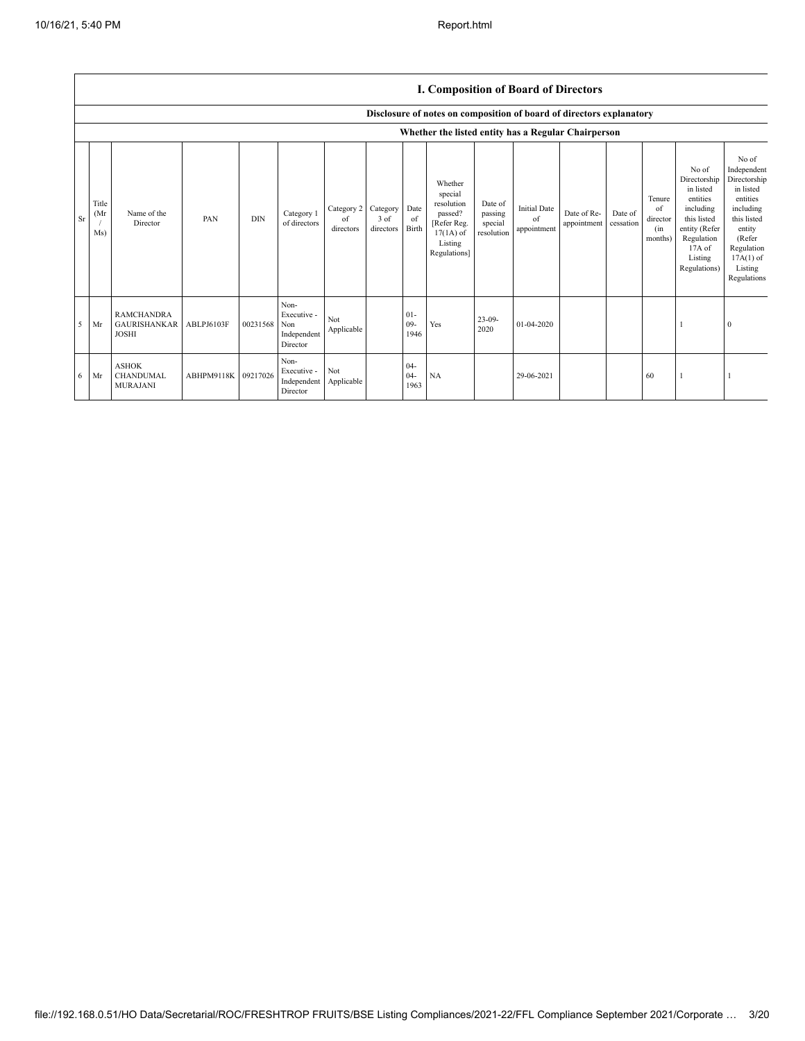|    |                      |                                                          |                     |            |                                                       |                                        |                   |                          | Disclosure of notes on composition of board of directors explanatory                                 |                                             |                                          |                            |                      |                                            |                                                                                                                                                |                                                                                                                                                                      |
|----|----------------------|----------------------------------------------------------|---------------------|------------|-------------------------------------------------------|----------------------------------------|-------------------|--------------------------|------------------------------------------------------------------------------------------------------|---------------------------------------------|------------------------------------------|----------------------------|----------------------|--------------------------------------------|------------------------------------------------------------------------------------------------------------------------------------------------|----------------------------------------------------------------------------------------------------------------------------------------------------------------------|
|    |                      |                                                          |                     |            |                                                       |                                        |                   |                          | Whether the listed entity has a Regular Chairperson                                                  |                                             |                                          |                            |                      |                                            |                                                                                                                                                |                                                                                                                                                                      |
| Sr | Title<br>(Mr)<br>Ms) | Name of the<br>Director                                  | PAN                 | <b>DIN</b> | Category 1<br>of directors                            | Category 2 Category<br>of<br>directors | 3 of<br>directors | Date<br>of<br>Birth      | Whether<br>special<br>resolution<br>passed?<br>[Refer Reg.<br>$17(1A)$ of<br>Listing<br>Regulations] | Date of<br>passing<br>special<br>resolution | <b>Initial Date</b><br>of<br>appointment | Date of Re-<br>appointment | Date of<br>cessation | Tenure<br>of<br>director<br>(in<br>months) | No of<br>Directorship<br>in listed<br>entities<br>including<br>this listed<br>entity (Refer<br>Regulation<br>17A of<br>Listing<br>Regulations) | No of<br>Independent<br>Directorship<br>in listed<br>entities<br>including<br>this listed<br>entity<br>(Refer<br>Regulation<br>$17A(1)$ of<br>Listing<br>Regulations |
| 5  | Mr                   | <b>RAMCHANDRA</b><br><b>GAURISHANKAR</b><br><b>JOSHI</b> | ABLPJ6103F          | 00231568   | Non-<br>Executive -<br>Non<br>Independent<br>Director | Not<br>Applicable                      |                   | $01 -$<br>$09 -$<br>1946 | Yes                                                                                                  | $23-09-$<br>2020                            | 01-04-2020                               |                            |                      |                                            |                                                                                                                                                | $\theta$                                                                                                                                                             |
| 6  | Mr                   | <b>ASHOK</b><br><b>CHANDUMAL</b><br><b>MURAJANI</b>      | ABHPM9118K 09217026 |            | Non-<br>Executive -<br>Independent<br>Director        | Not<br>Applicable                      |                   | $04 -$<br>$04 -$<br>1963 | NA                                                                                                   |                                             | 29-06-2021                               |                            |                      | 60                                         |                                                                                                                                                |                                                                                                                                                                      |

## **I. Composition of Board of Directors**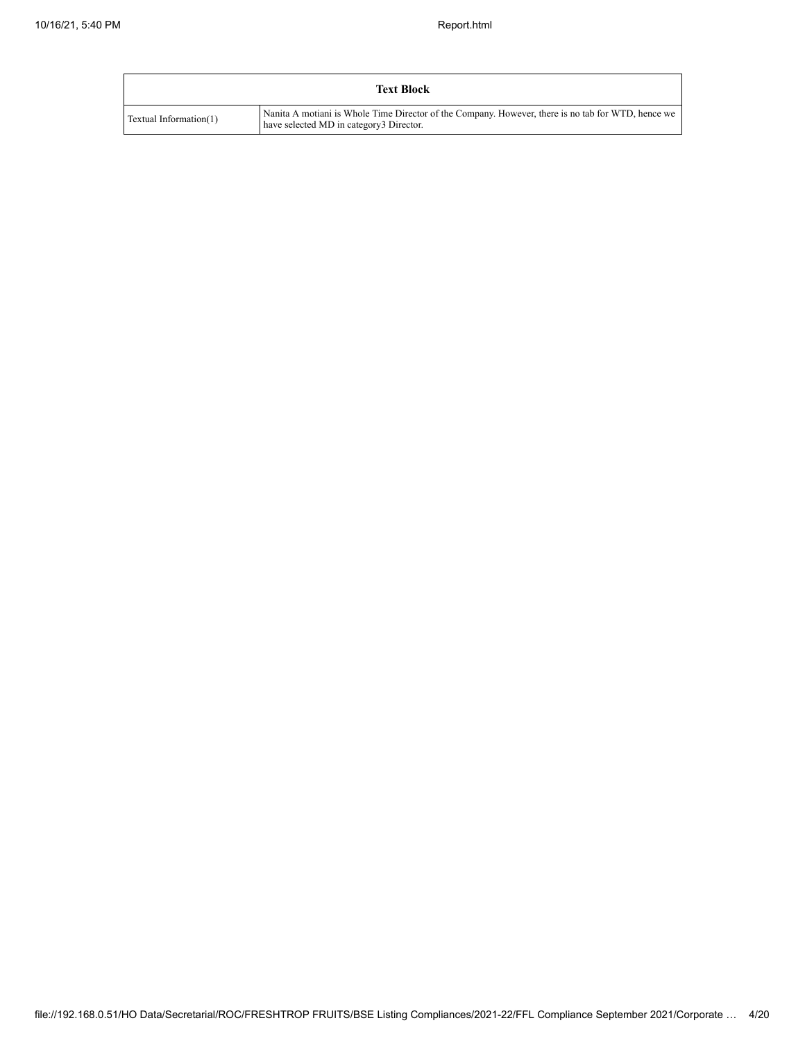|                        | <b>Text Block</b>                                                                                                                             |
|------------------------|-----------------------------------------------------------------------------------------------------------------------------------------------|
| Textual Information(1) | Nanita A motiani is Whole Time Director of the Company. However, there is no tab for WTD, hence we<br>have selected MD in category3 Director. |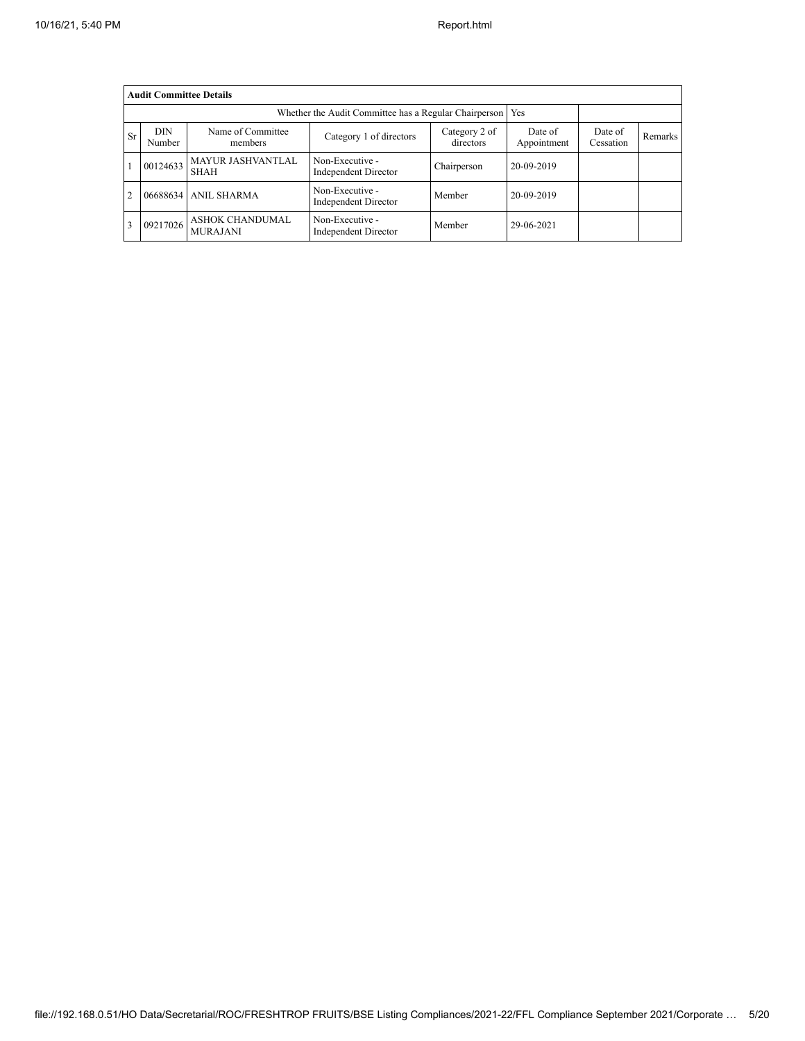|                | <b>Audit Committee Details</b> |                                    |                                                       |                      |                |  |  |  |  |  |  |
|----------------|--------------------------------|------------------------------------|-------------------------------------------------------|----------------------|----------------|--|--|--|--|--|--|
|                |                                |                                    | Whether the Audit Committee has a Regular Chairperson | Yes                  |                |  |  |  |  |  |  |
| <b>Sr</b>      | <b>DIN</b><br>Number           | Name of Committee<br>members       | Date of<br>Appointment                                | Date of<br>Cessation | <b>Remarks</b> |  |  |  |  |  |  |
|                | 00124633                       | <b>MAYUR JASHVANTLAL</b><br>SHAH   | Non-Executive -<br>Independent Director               | Chairperson          | 20-09-2019     |  |  |  |  |  |  |
| $\overline{c}$ | 06688634                       | <b>ANIL SHARMA</b>                 | Non-Executive -<br>Independent Director               | Member               | 20-09-2019     |  |  |  |  |  |  |
| 3              | 09217026                       | ASHOK CHANDUMAL<br><b>MURAJANI</b> | Non-Executive -<br><b>Independent Director</b>        | Member               | 29-06-2021     |  |  |  |  |  |  |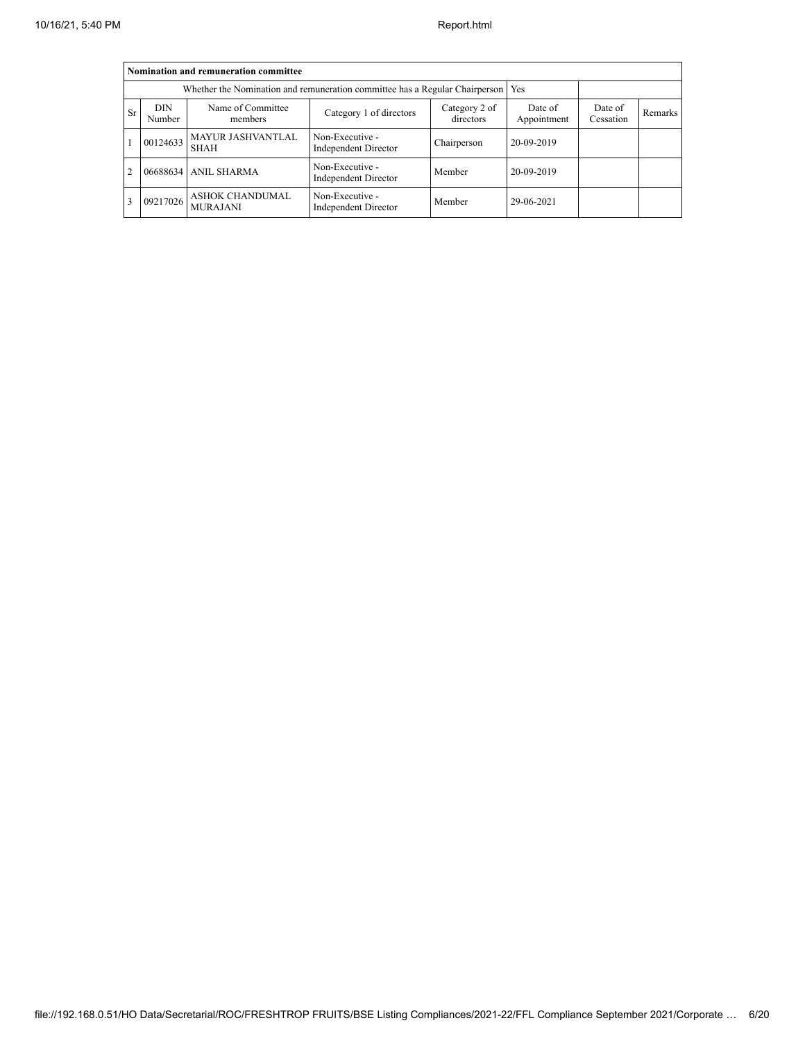|                                                                                                                                                                                         | Nomination and remuneration committee |                                                                             |                                                |             |            |  |  |  |  |  |  |
|-----------------------------------------------------------------------------------------------------------------------------------------------------------------------------------------|---------------------------------------|-----------------------------------------------------------------------------|------------------------------------------------|-------------|------------|--|--|--|--|--|--|
|                                                                                                                                                                                         |                                       | Whether the Nomination and remuneration committee has a Regular Chairperson | Yes                                            |             |            |  |  |  |  |  |  |
| Name of Committee<br><b>DIN</b><br>Category 2 of<br>Date of<br>Date of<br><b>Sr</b><br>Category 1 of directors<br>Remarks<br>directors<br>Appointment<br>Cessation<br>Number<br>members |                                       |                                                                             |                                                |             |            |  |  |  |  |  |  |
|                                                                                                                                                                                         | 00124633                              | <b>MAYUR JASHVANTLAL</b><br><b>SHAH</b>                                     | Non-Executive -<br>Independent Director        | Chairperson | 20-09-2019 |  |  |  |  |  |  |
|                                                                                                                                                                                         | 06688634                              | <b>ANIL SHARMA</b>                                                          | Non-Executive -<br><b>Independent Director</b> | Member      | 20-09-2019 |  |  |  |  |  |  |
|                                                                                                                                                                                         | 09217026                              | <b>ASHOK CHANDUMAL</b><br><b>MURAJANI</b>                                   | Non-Executive -<br><b>Independent Director</b> | Member      | 29-06-2021 |  |  |  |  |  |  |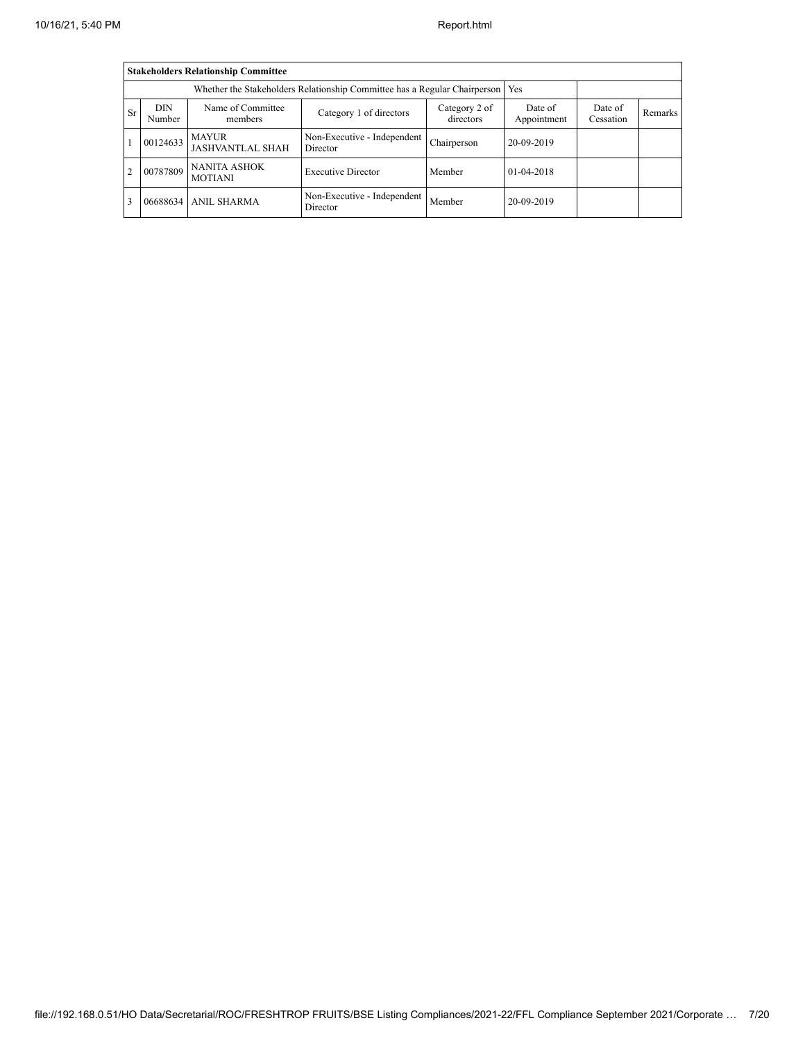|                | <b>Stakeholders Relationship Committee</b>                                                                                                                                        |                                                                           |                                         |             |              |  |  |  |  |  |  |
|----------------|-----------------------------------------------------------------------------------------------------------------------------------------------------------------------------------|---------------------------------------------------------------------------|-----------------------------------------|-------------|--------------|--|--|--|--|--|--|
|                |                                                                                                                                                                                   | Whether the Stakeholders Relationship Committee has a Regular Chairperson | Yes                                     |             |              |  |  |  |  |  |  |
| <b>Sr</b>      | Name of Committee<br><b>DIN</b><br>Date of<br>Category 2 of<br>Date of<br>Category 1 of directors<br><b>Remarks</b><br>directors<br>Appointment<br>Cessation<br>Number<br>members |                                                                           |                                         |             |              |  |  |  |  |  |  |
|                | 00124633                                                                                                                                                                          | <b>MAYUR</b><br><b>JASHVANTLAL SHAH</b>                                   | Non-Executive - Independent<br>Director | Chairperson | 20-09-2019   |  |  |  |  |  |  |
| $\overline{2}$ | 00787809                                                                                                                                                                          | <b>NANITA ASHOK</b><br><b>MOTIANI</b>                                     | <b>Executive Director</b>               | Member      | $01-04-2018$ |  |  |  |  |  |  |
| 3              |                                                                                                                                                                                   | 06688634 ANIL SHARMA                                                      | Non-Executive - Independent<br>Director | Member      | 20-09-2019   |  |  |  |  |  |  |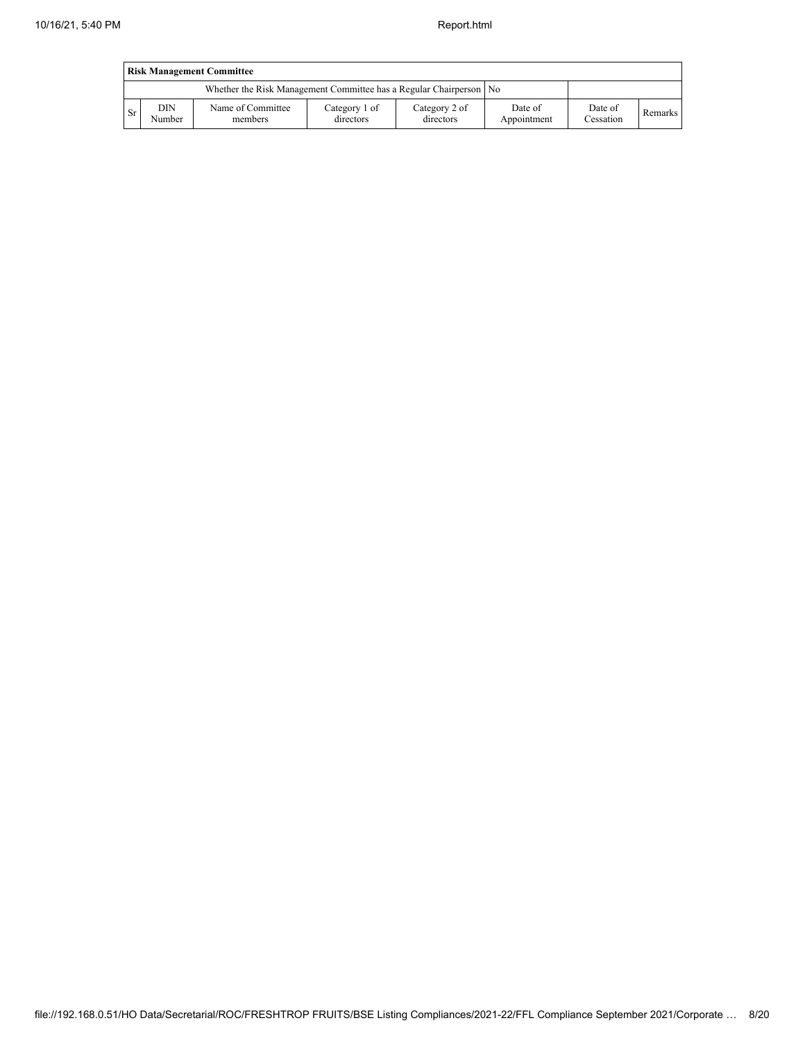|     | <b>Risk Management Committee</b> |                                                                    |                            |                            |                        |                             |         |  |  |  |  |  |
|-----|----------------------------------|--------------------------------------------------------------------|----------------------------|----------------------------|------------------------|-----------------------------|---------|--|--|--|--|--|
|     |                                  | Whether the Risk Management Committee has a Regular Chairperson No |                            |                            |                        |                             |         |  |  |  |  |  |
| -Sr | DIN<br>Number                    | Name of Committee<br>members                                       | Category 1 of<br>directors | Category 2 of<br>directors | Date of<br>Appointment | Date of<br><b>Cessation</b> | Remarks |  |  |  |  |  |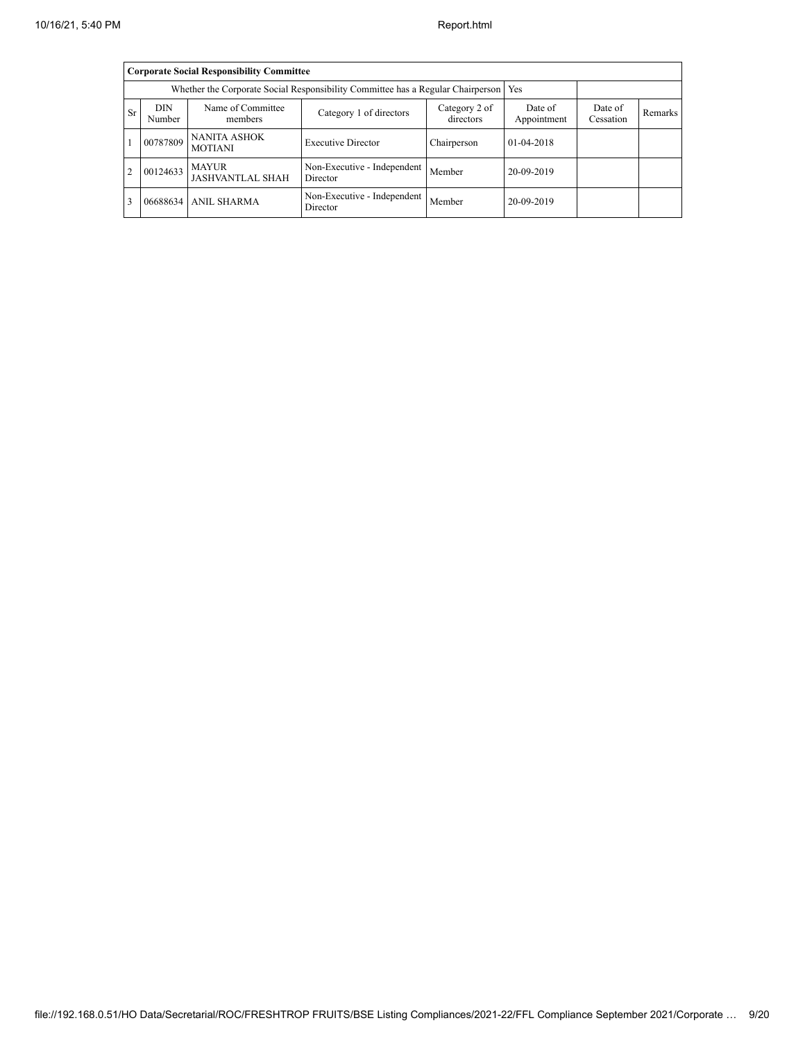|                | <b>Corporate Social Responsibility Committee</b> |                                                                                 |                                         |             |              |  |  |  |  |  |  |
|----------------|--------------------------------------------------|---------------------------------------------------------------------------------|-----------------------------------------|-------------|--------------|--|--|--|--|--|--|
|                |                                                  | Whether the Corporate Social Responsibility Committee has a Regular Chairperson |                                         | Yes         |              |  |  |  |  |  |  |
| <b>Sr</b>      | <b>DIN</b><br>Number                             | Date of<br>Appointment                                                          | Date of<br>Cessation                    | Remarks     |              |  |  |  |  |  |  |
|                | 00787809                                         | <b>NANITA ASHOK</b><br><b>MOTIANI</b>                                           | <b>Executive Director</b>               | Chairperson | $01-04-2018$ |  |  |  |  |  |  |
| $\overline{2}$ | 00124633                                         | <b>MAYUR</b><br><b>JASHVANTLAL SHAH</b>                                         | Non-Executive - Independent<br>Director | Member      | 20-09-2019   |  |  |  |  |  |  |
| 3              |                                                  | 06688634 ANIL SHARMA                                                            | Non-Executive - Independent<br>Director | Member      | 20-09-2019   |  |  |  |  |  |  |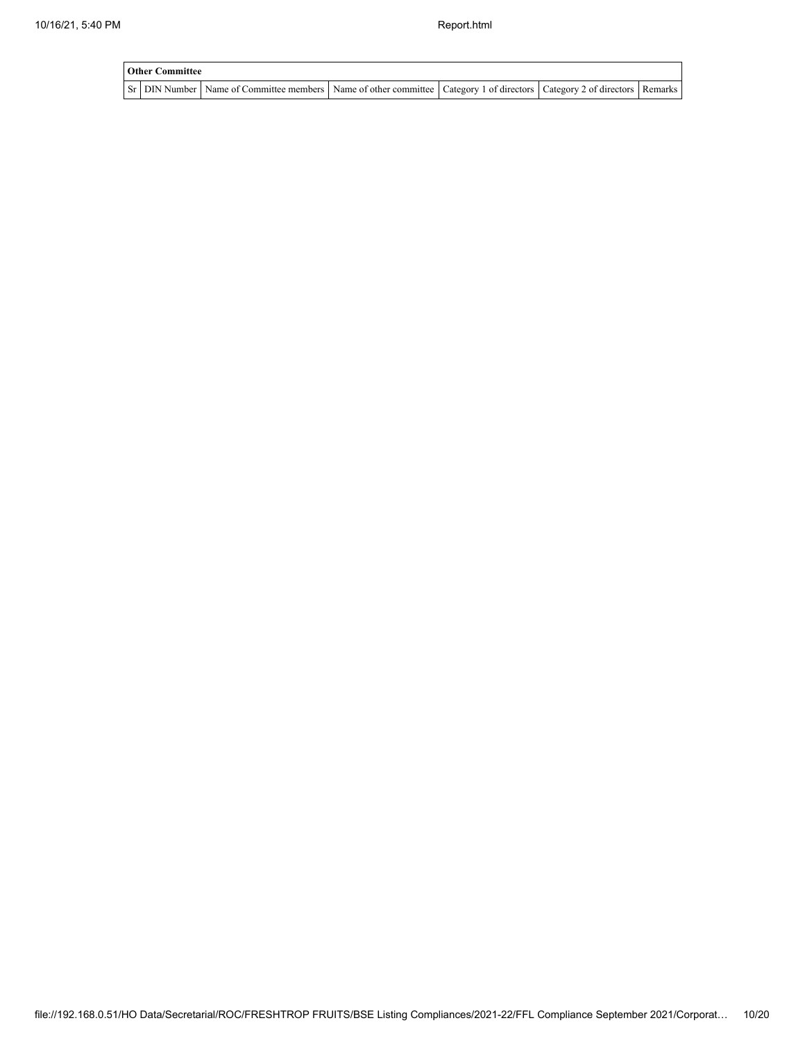| <b>Other Committee</b> |                                                                                                                                     |  |  |  |  |  |  |  |  |  |
|------------------------|-------------------------------------------------------------------------------------------------------------------------------------|--|--|--|--|--|--|--|--|--|
|                        | Sr   DIN Number   Name of Committee members   Name of other committee   Category 1 of directors   Category 2 of directors   Remarks |  |  |  |  |  |  |  |  |  |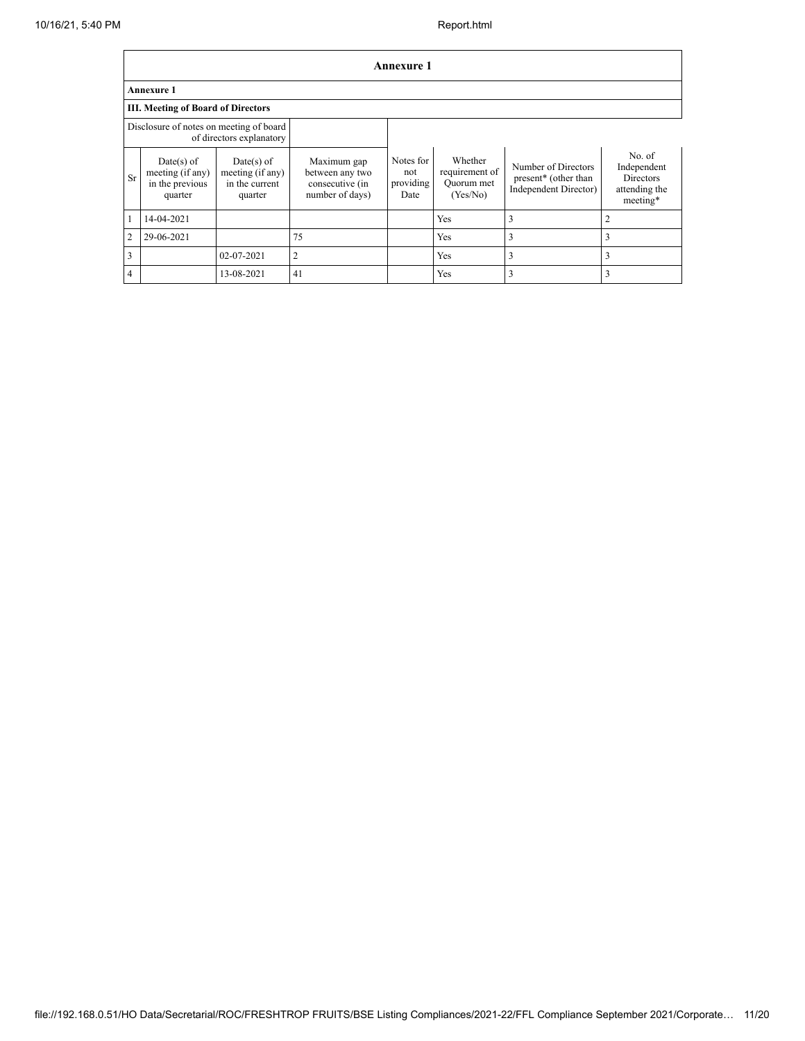|                |                                                                     |                                                               |                                                                      | <b>Annexure 1</b>                     |                                                     |                                                                      |                                                                        |  |  |  |  |  |
|----------------|---------------------------------------------------------------------|---------------------------------------------------------------|----------------------------------------------------------------------|---------------------------------------|-----------------------------------------------------|----------------------------------------------------------------------|------------------------------------------------------------------------|--|--|--|--|--|
|                | <b>Annexure 1</b>                                                   |                                                               |                                                                      |                                       |                                                     |                                                                      |                                                                        |  |  |  |  |  |
|                | III. Meeting of Board of Directors                                  |                                                               |                                                                      |                                       |                                                     |                                                                      |                                                                        |  |  |  |  |  |
|                | Disclosure of notes on meeting of board<br>of directors explanatory |                                                               |                                                                      |                                       |                                                     |                                                                      |                                                                        |  |  |  |  |  |
| <b>Sr</b>      | Date(s) of<br>meeting (if any)<br>in the previous<br>quarter        | $Date(s)$ of<br>meeting (if any)<br>in the current<br>quarter | Maximum gap<br>between any two<br>consecutive (in<br>number of days) | Notes for<br>not<br>providing<br>Date | Whether<br>requirement of<br>Ouorum met<br>(Yes/No) | Number of Directors<br>present* (other than<br>Independent Director) | No. of<br>Independent<br><b>Directors</b><br>attending the<br>meeting* |  |  |  |  |  |
| $\mathbf{1}$   | 14-04-2021                                                          |                                                               |                                                                      |                                       | Yes                                                 | 3                                                                    | 2                                                                      |  |  |  |  |  |
| $\sqrt{2}$     | 29-06-2021                                                          |                                                               | 75                                                                   |                                       | Yes                                                 | 3                                                                    | 3                                                                      |  |  |  |  |  |
| $\overline{3}$ |                                                                     | 02-07-2021                                                    | $\overline{2}$                                                       |                                       | Yes                                                 | 3                                                                    | 3                                                                      |  |  |  |  |  |
| $\overline{4}$ |                                                                     | 13-08-2021                                                    | 41                                                                   |                                       | Yes                                                 | 3                                                                    | 3                                                                      |  |  |  |  |  |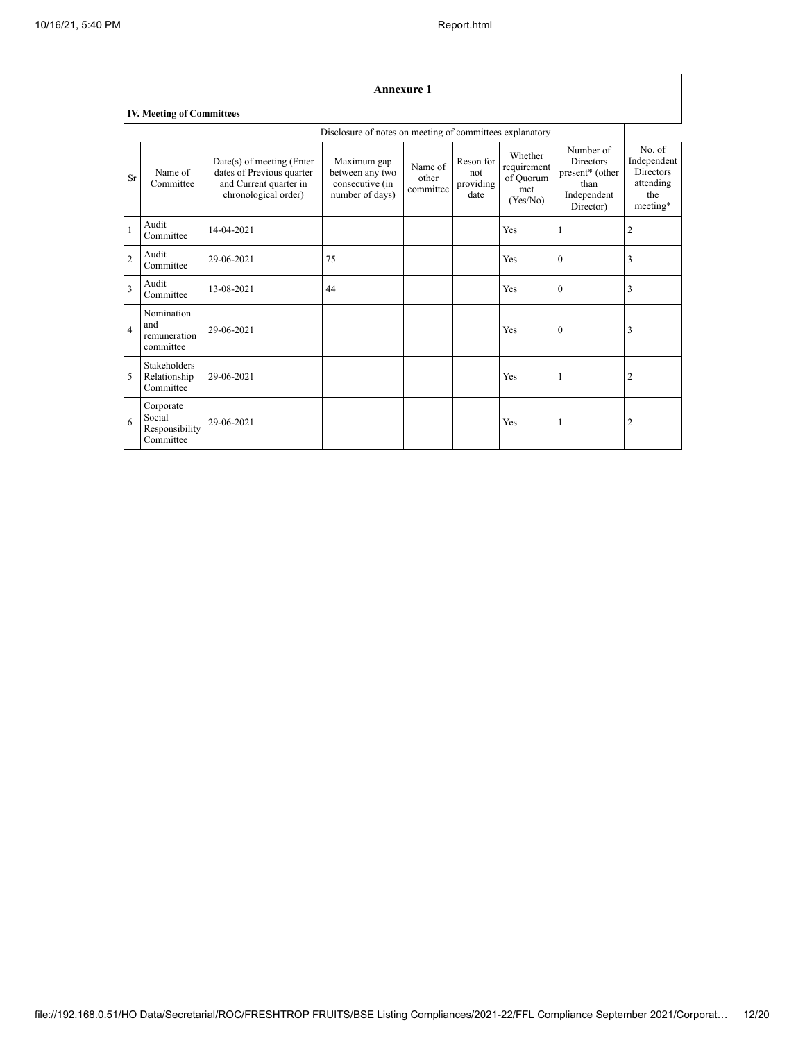|                         | <b>Annexure 1</b>                                  |                                                                                                            |                                                                      |                               |                                       |                                                        |                                                                                      |                                                                           |  |  |  |  |  |
|-------------------------|----------------------------------------------------|------------------------------------------------------------------------------------------------------------|----------------------------------------------------------------------|-------------------------------|---------------------------------------|--------------------------------------------------------|--------------------------------------------------------------------------------------|---------------------------------------------------------------------------|--|--|--|--|--|
|                         | <b>IV. Meeting of Committees</b>                   |                                                                                                            |                                                                      |                               |                                       |                                                        |                                                                                      |                                                                           |  |  |  |  |  |
|                         |                                                    |                                                                                                            | Disclosure of notes on meeting of committees explanatory             |                               |                                       |                                                        |                                                                                      |                                                                           |  |  |  |  |  |
| <b>Sr</b>               | Name of<br>Committee                               | $Date(s)$ of meeting (Enter<br>dates of Previous quarter<br>and Current quarter in<br>chronological order) | Maximum gap<br>between any two<br>consecutive (in<br>number of days) | Name of<br>other<br>committee | Reson for<br>not<br>providing<br>date | Whether<br>requirement<br>of Ouorum<br>met<br>(Yes/No) | Number of<br><b>Directors</b><br>present* (other<br>than<br>Independent<br>Director) | No. of<br>Independent<br><b>Directors</b><br>attending<br>the<br>meeting* |  |  |  |  |  |
| $\mathbf{1}$            | Audit<br>Committee                                 | 14-04-2021                                                                                                 |                                                                      |                               |                                       | Yes                                                    | 1                                                                                    | $\overline{\mathbf{c}}$                                                   |  |  |  |  |  |
| $\overline{c}$          | Audit<br>Committee                                 | 29-06-2021                                                                                                 | 75                                                                   |                               |                                       | Yes                                                    | $\theta$                                                                             | 3                                                                         |  |  |  |  |  |
| $\overline{\mathbf{3}}$ | Audit<br>Committee                                 | 13-08-2021                                                                                                 | 44                                                                   |                               |                                       | Yes                                                    | $\mathbf{0}$                                                                         | 3                                                                         |  |  |  |  |  |
| $\overline{4}$          | Nomination<br>and<br>remuneration<br>committee     | 29-06-2021                                                                                                 |                                                                      |                               |                                       | Yes                                                    | $\mathbf{0}$                                                                         | 3                                                                         |  |  |  |  |  |
| 5                       | Stakeholders<br>Relationship<br>Committee          | 29-06-2021                                                                                                 |                                                                      |                               |                                       | Yes                                                    | 1                                                                                    | $\overline{c}$                                                            |  |  |  |  |  |
| 6                       | Corporate<br>Social<br>Responsibility<br>Committee | 29-06-2021                                                                                                 |                                                                      |                               |                                       | Yes                                                    | 1                                                                                    | $\overline{2}$                                                            |  |  |  |  |  |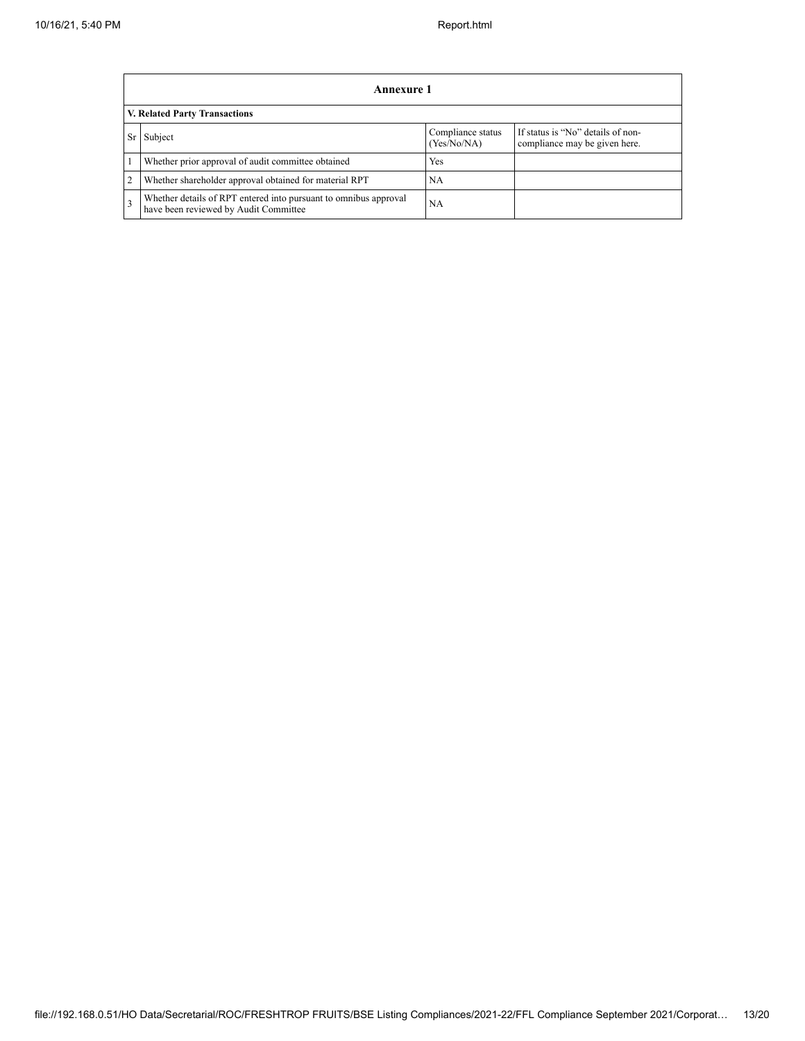|                | Annexure 1                                                                                                |                                  |                                                                    |  |
|----------------|-----------------------------------------------------------------------------------------------------------|----------------------------------|--------------------------------------------------------------------|--|
|                | V. Related Party Transactions                                                                             |                                  |                                                                    |  |
| Sr             | Subject                                                                                                   | Compliance status<br>(Yes/No/NA) | If status is "No" details of non-<br>compliance may be given here. |  |
|                | Whether prior approval of audit committee obtained                                                        | Yes                              |                                                                    |  |
| $\overline{2}$ | Whether shareholder approval obtained for material RPT                                                    | NA                               |                                                                    |  |
| 3              | Whether details of RPT entered into pursuant to omnibus approval<br>have been reviewed by Audit Committee | <b>NA</b>                        |                                                                    |  |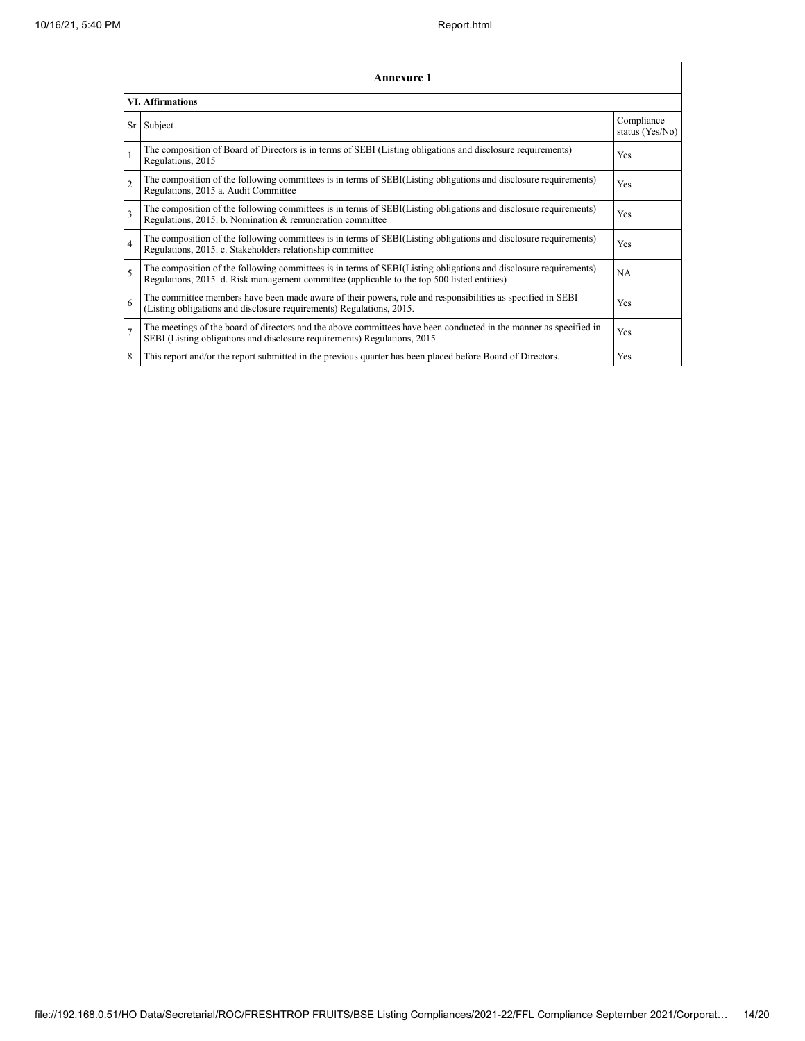|                         | Annexure 1                                                                                                                                                                                                      |                               |  |  |  |
|-------------------------|-----------------------------------------------------------------------------------------------------------------------------------------------------------------------------------------------------------------|-------------------------------|--|--|--|
|                         | <b>VI. Affirmations</b>                                                                                                                                                                                         |                               |  |  |  |
| Sr                      | Subject                                                                                                                                                                                                         | Compliance<br>status (Yes/No) |  |  |  |
|                         | The composition of Board of Directors is in terms of SEBI (Listing obligations and disclosure requirements)<br>Regulations, 2015                                                                                | Yes                           |  |  |  |
| $\overline{c}$          | The composition of the following committees is in terms of SEBI(Listing obligations and disclosure requirements)<br>Regulations, 2015 a. Audit Committee                                                        | Yes                           |  |  |  |
| $\overline{\mathbf{3}}$ | The composition of the following committees is in terms of SEBI(Listing obligations and disclosure requirements)<br>Regulations, 2015. b. Nomination & remuneration committee                                   | Yes                           |  |  |  |
| $\overline{4}$          | The composition of the following committees is in terms of SEBI(Listing obligations and disclosure requirements)<br>Regulations, 2015. c. Stakeholders relationship committee                                   | <b>Yes</b>                    |  |  |  |
| 5                       | The composition of the following committees is in terms of SEBI(Listing obligations and disclosure requirements)<br>Regulations, 2015. d. Risk management committee (applicable to the top 500 listed entities) | <b>NA</b>                     |  |  |  |
| 6                       | The committee members have been made aware of their powers, role and responsibilities as specified in SEBI<br>(Listing obligations and disclosure requirements) Regulations, 2015.                              | Yes                           |  |  |  |
| $\overline{7}$          | The meetings of the board of directors and the above committees have been conducted in the manner as specified in<br>SEBI (Listing obligations and disclosure requirements) Regulations, 2015.                  | <b>Yes</b>                    |  |  |  |
| 8                       | This report and/or the report submitted in the previous quarter has been placed before Board of Directors.                                                                                                      | <b>Yes</b>                    |  |  |  |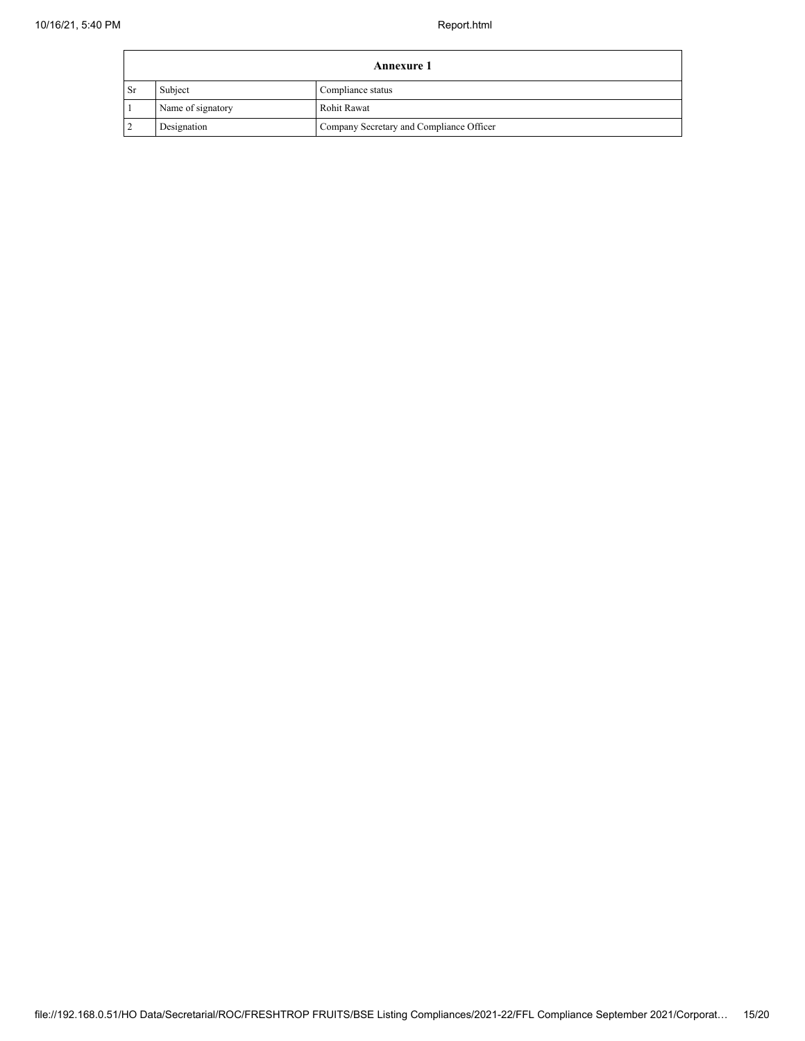$\blacksquare$ 

| <b>Annexure 1</b> |                   |                                          |
|-------------------|-------------------|------------------------------------------|
| l Sr              | Subject           | Compliance status                        |
|                   | Name of signatory | <b>Rohit Rawat</b>                       |
|                   | Designation       | Company Secretary and Compliance Officer |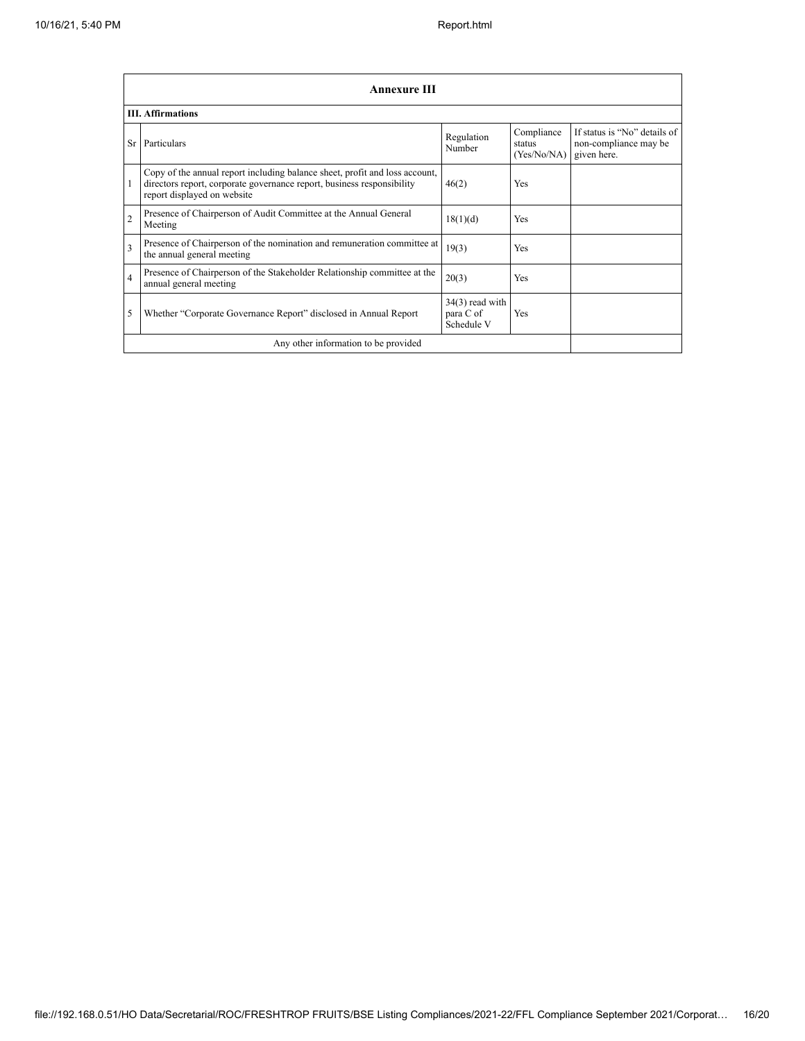|                | Annexure III                                                                                                                                                                         |                                              |                                     |                                                                      |
|----------------|--------------------------------------------------------------------------------------------------------------------------------------------------------------------------------------|----------------------------------------------|-------------------------------------|----------------------------------------------------------------------|
|                | <b>III.</b> Affirmations                                                                                                                                                             |                                              |                                     |                                                                      |
| <b>Sr</b>      | Particulars                                                                                                                                                                          | Regulation<br>Number                         | Compliance<br>status<br>(Yes/No/NA) | If status is "No" details of<br>non-compliance may be<br>given here. |
| 1              | Copy of the annual report including balance sheet, profit and loss account,<br>directors report, corporate governance report, business responsibility<br>report displayed on website | 46(2)                                        | Yes                                 |                                                                      |
| $\overline{2}$ | Presence of Chairperson of Audit Committee at the Annual General<br>Meeting                                                                                                          | 18(1)(d)                                     | <b>Yes</b>                          |                                                                      |
| 3              | Presence of Chairperson of the nomination and remuneration committee at<br>the annual general meeting                                                                                | 19(3)                                        | <b>Yes</b>                          |                                                                      |
| $\overline{4}$ | Presence of Chairperson of the Stakeholder Relationship committee at the<br>annual general meeting                                                                                   | 20(3)                                        | Yes                                 |                                                                      |
| 5              | Whether "Corporate Governance Report" disclosed in Annual Report                                                                                                                     | $34(3)$ read with<br>para C of<br>Schedule V | <b>Yes</b>                          |                                                                      |
|                | Any other information to be provided                                                                                                                                                 |                                              |                                     |                                                                      |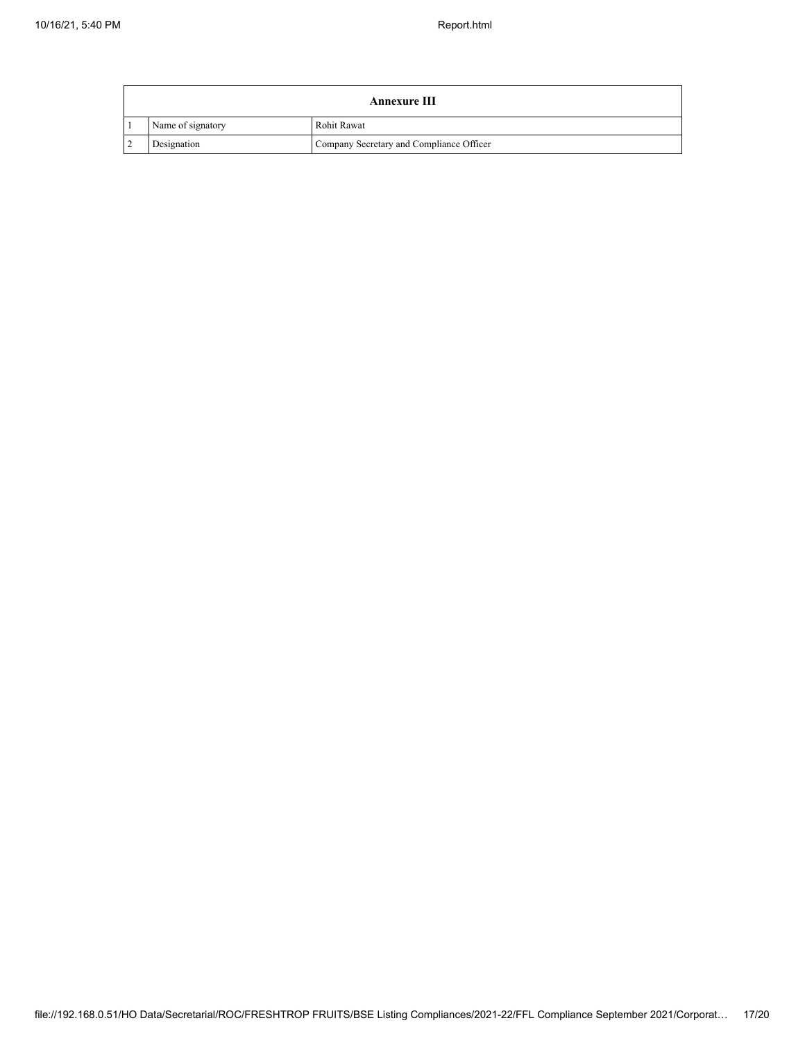| <b>Annexure III</b> |                                          |  |
|---------------------|------------------------------------------|--|
| Name of signatory   | Rohit Rawat                              |  |
| Designation         | Company Secretary and Compliance Officer |  |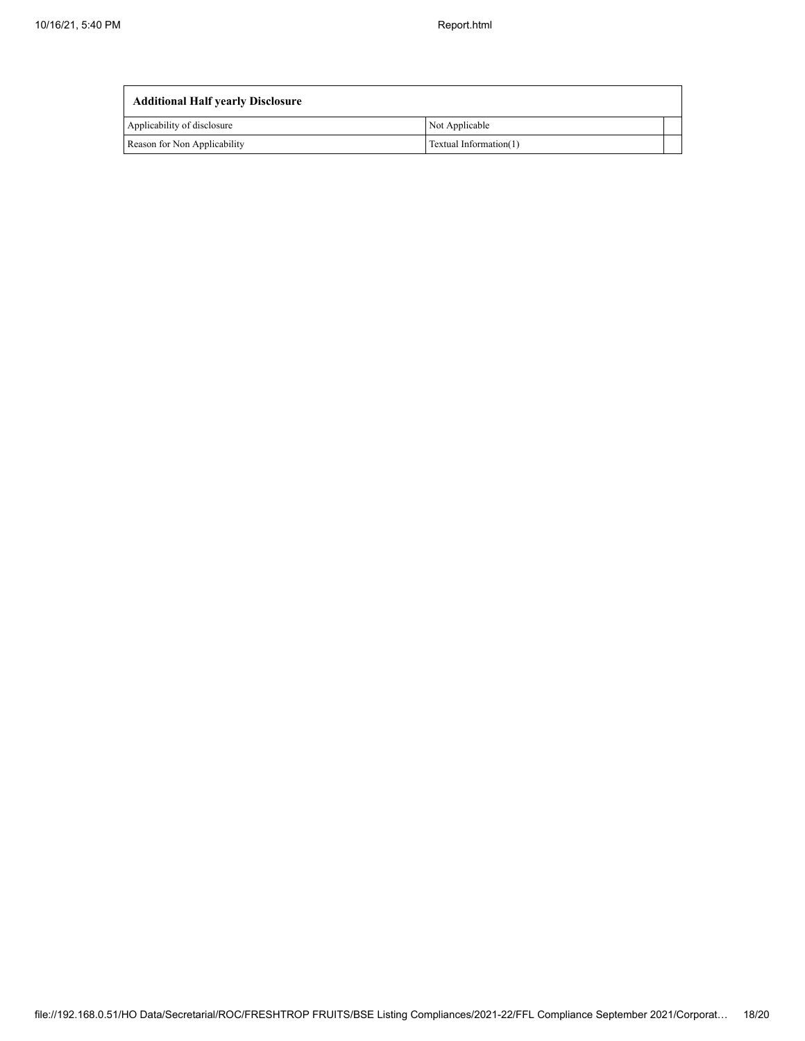| <b>Additional Half yearly Disclosure</b> |                        |  |
|------------------------------------------|------------------------|--|
| Applicability of disclosure              | Not Applicable         |  |
| Reason for Non Applicability             | Textual Information(1) |  |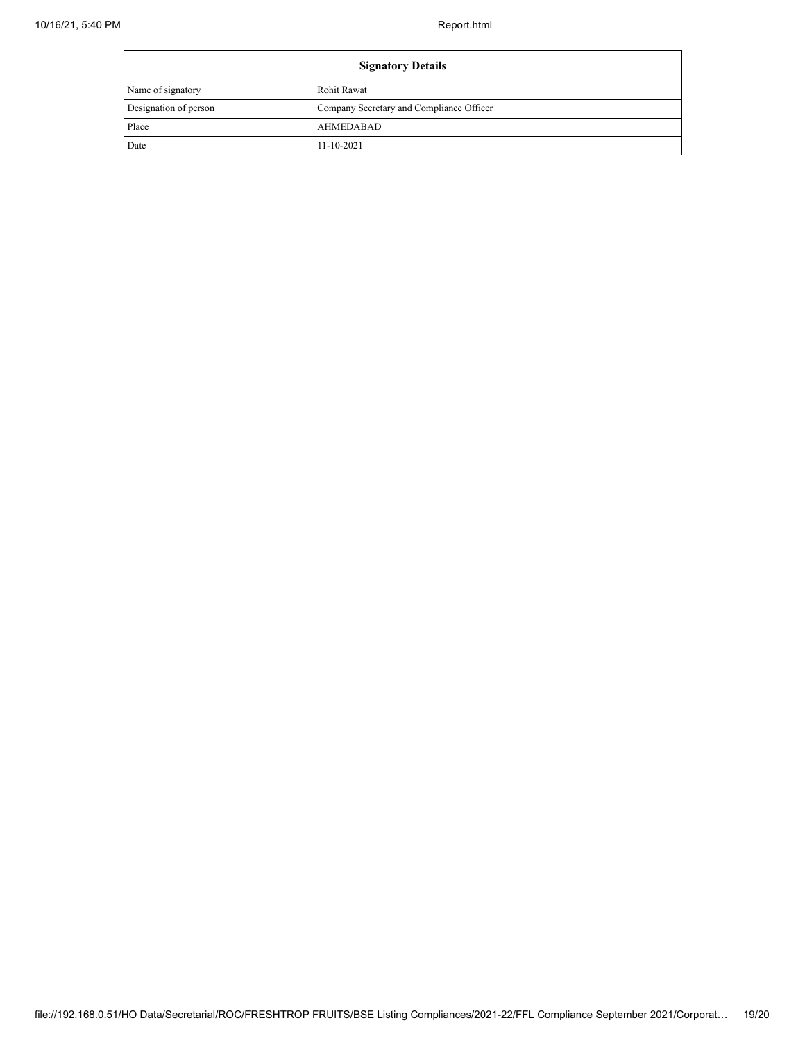| <b>Signatory Details</b> |                                          |
|--------------------------|------------------------------------------|
| Name of signatory        | Rohit Rawat                              |
| Designation of person    | Company Secretary and Compliance Officer |
| Place                    | AHMEDABAD                                |
| Date                     | $11 - 10 - 2021$                         |